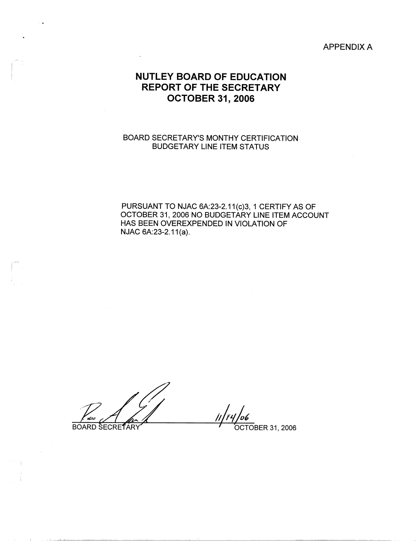## APPENDIX A

# **NUTLEY BOARD OF EDUCATION REPORT OF THE SECRETARY OCTOBER 31, 2006**

## BOARD SECRETARY'S MONTHY CERTIFICATION BUDGETARY LINE ITEM STATUS

PURSUANT TO NJAC 6A:23-2.11(c)3, 1 CERTIFY AS OF OCTOBER 31, 2006 NO BUDGETARY LINE ITEM ACCOUNT HAS BEEN OVEREXPENDED IN VIOLATION OF NJAC 6A:23-2.11(a).

**BOARD SECRETARY** 

i-

and it companies

OCTOBER 31, 2006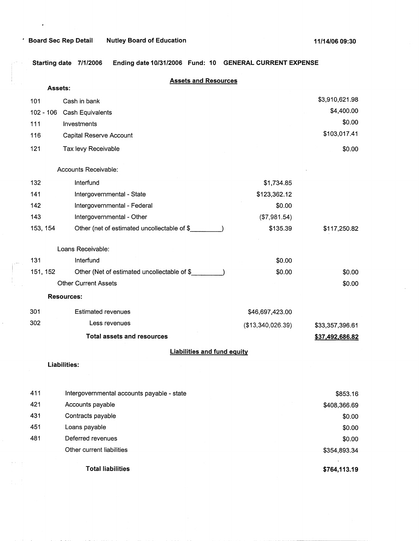$\bullet$ 

**Starting date 7/1/2006 Ending date 10/31/2006 Fund: 10 GENERAL CURRENT EXPENSE** 

|     | Assets:   |                                             | <b>Assets and Resources</b>        |                   |                 |
|-----|-----------|---------------------------------------------|------------------------------------|-------------------|-----------------|
| 101 |           | Cash in bank                                |                                    |                   | \$3,910,621.98  |
|     | 102 - 106 | Cash Equivalents                            |                                    |                   | \$4,400.00      |
| 111 |           | Investments                                 |                                    |                   | \$0.00          |
| 116 |           | Capital Reserve Account                     |                                    |                   | \$103,017.41    |
| 121 |           | Tax levy Receivable                         |                                    |                   | \$0.00          |
|     |           | Accounts Receivable:                        |                                    |                   |                 |
| 132 |           | Interfund                                   |                                    | \$1,734.85        |                 |
| 141 |           | Intergovernmental - State                   |                                    | \$123,362.12      |                 |
| 142 |           | Intergovernmental - Federal                 |                                    | \$0.00            |                 |
| 143 |           | Intergovernmental - Other                   |                                    | (\$7,981.54)      |                 |
|     | 153, 154  | Other (net of estimated uncollectable of \$ |                                    | \$135.39          | \$117,250.82    |
|     |           | Loans Receivable:                           |                                    |                   |                 |
| 131 |           | Interfund                                   |                                    | \$0.00            |                 |
|     | 151, 152  | Other (Net of estimated uncollectable of \$ |                                    | \$0.00            | \$0.00          |
|     |           | <b>Other Current Assets</b>                 |                                    |                   | \$0.00          |
|     |           | <b>Resources:</b>                           |                                    |                   |                 |
| 301 |           | <b>Estimated revenues</b>                   |                                    | \$46,697,423.00   |                 |
| 302 |           | Less revenues                               |                                    | (\$13,340,026.39) | \$33,357,396.61 |
|     |           | <b>Total assets and resources</b>           |                                    |                   | \$37,492,686.82 |
|     |           |                                             | <b>Liabilities and fund equity</b> |                   |                 |
|     |           | Liabilities:                                |                                    |                   |                 |
| 411 |           | Intergovernmental accounts payable - state  |                                    |                   | \$853.16        |
| 421 |           | Accounts payable                            |                                    |                   | \$408,366.69    |
| 431 |           | Contracts payable                           |                                    |                   | \$0.00          |
| 451 |           | Loans payable                               |                                    |                   | \$0.00          |

481 Deferred revenues Other current liabilities

 $\mathcal{A} \in \mathbb{R}^{n \times n}$ 

**Total liabilities** 

**\$764,113.19** 

\$354,893.34

\$0.00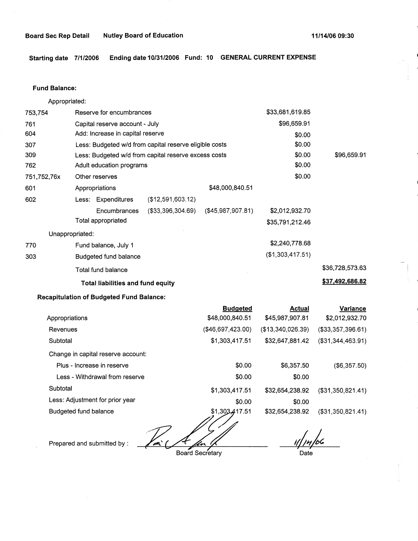**Starting date 7/1/2006 Ending date 10/31/2006 Fund: 10 GENERAL CURRENT EXPENSE** 

### **Fund Balance:**

753,754 761 604 Appropriated: Reserve for encumbrances Capital reserve account - July Add: Increase in capital reserve 307 309 762 751,752,76x 601 Less: Budgeted w/d from capital reserve eligible costs Less: Budgeted w/d from capital reserve excess costs Adult education programs Other reserves Appropriations 602 Less: Expenditures (\$12,591,603.12) Encumbrances (\$33,396,304.69) Total appropriated Unappropriated: 770 Fund balance, July 1 303 Budgeted fund balance Total fund balance **Total liabilities and fund equity Recapitulation of Budgeted Fund Balance:**  \$48,000,840.51 (\$45,987,907.81) **Budgeted**  \$33,681,619.85 \$96,659.91 \$0.00 \$0.00 \$0.00 \$0.00 \$0.00 \$2,012,932.70 \$35,791,212.46 \$2,240,778.68 (\$1,303,417.51) **Actual**  \$96,659.91 \$36,728,573.63 **\$37,492,686.82 Variance** 

| Appropriations                     | \$48,000,840.51   | \$45,987,907.81   | \$2,012,932.70       |
|------------------------------------|-------------------|-------------------|----------------------|
| Revenues                           | (\$46,697,423.00) | (\$13,340,026.39) | (\$33,357,396.61)    |
| Subtotal                           | \$1,303,417.51    | \$32,647,881.42   | ( \$31, 344, 463.91) |
| Change in capital reserve account: |                   |                   |                      |
| Plus - Increase in reserve         | \$0.00            | \$6,357.50        | (\$6,357.50)         |
| Less - Withdrawal from reserve     | \$0.00            | \$0.00            |                      |
| Subtotal                           | \$1,303,417.51    | \$32,654,238.92   | (\$31,350,821.41)    |
| Less: Adjustment for prior year    | \$0.00            | \$0.00            |                      |
| Budgeted fund balance              | \$1,303,417.51    | \$32,654,238.92   | (\$31,350,821.41)    |

 $\mathbb{Z}$ 

Prepared and submitted by :

Board Secretary

,<br>14/66

Date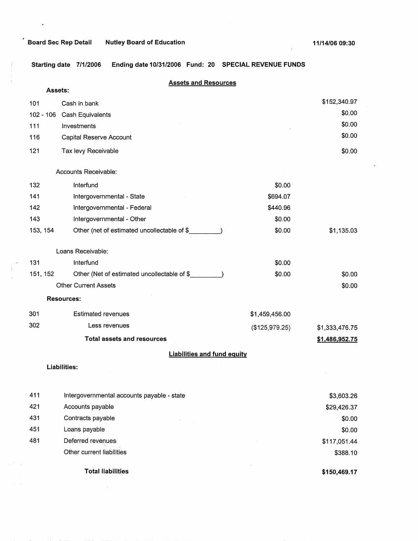×

**Starting date 7/1/2006 Ending date 10/31/2006 Fund: 20 SPECIAL REVENUE FUNDS** 

| <b>Assets and Resources</b> |                                             |                |                |
|-----------------------------|---------------------------------------------|----------------|----------------|
| Assets:                     |                                             |                |                |
| 101                         | Cash in bank                                |                | \$152,340.97   |
| $102 - 106$                 | Cash Equivalents                            |                | \$0.00         |
| 111                         | Investments                                 |                | \$0.00         |
| 116                         | Capital Reserve Account                     |                | \$0.00         |
| 121                         | Tax levy Receivable                         |                | \$0.00         |
|                             | Accounts Receivable:                        |                |                |
| 132                         | Interfund                                   | \$0.00         |                |
| 141                         | Intergovernmental - State                   | \$694.07       |                |
| 142                         | Intergovernmental - Federal                 | \$440.96       |                |
| 143                         | Intergovernmental - Other                   | \$0.00         |                |
| 153, 154                    | Other (net of estimated uncollectable of \$ | \$0.00         | \$1,135.03     |
|                             | Loans Receivable:                           |                |                |
| 131                         | Interfund                                   | \$0.00         |                |
| 151, 152                    | Other (Net of estimated uncollectable of \$ | \$0.00         | \$0.00         |
|                             | <b>Other Current Assets</b>                 |                | \$0.00         |
|                             | <b>Resources:</b>                           |                |                |
| 301                         | <b>Estimated revenues</b>                   | \$1,459,456.00 |                |
| 302                         | Less revenues                               | (\$125,979.25) | \$1,333,476.75 |
|                             | <b>Total assets and resources</b>           |                | \$1,486,952.75 |
|                             | <b>Liabilities and fund equity</b>          |                |                |
|                             | <b>Liabilities:</b>                         |                |                |
|                             |                                             |                |                |
| 411                         | Intergovernmental accounts payable - state  |                | \$3,603.26     |
| 421                         | Accounts payable                            |                | \$29,426.37    |
| 431                         | Contracts payable                           |                | \$0.00         |
| 451                         | Loans payable                               |                | \$0.00         |
| 481                         | Deferred revenues                           |                | \$117,051.44   |

**Total liabilities** 

 $\hat{f}$ 

Other current liabilities

**\$150,469.17** 

\$388.10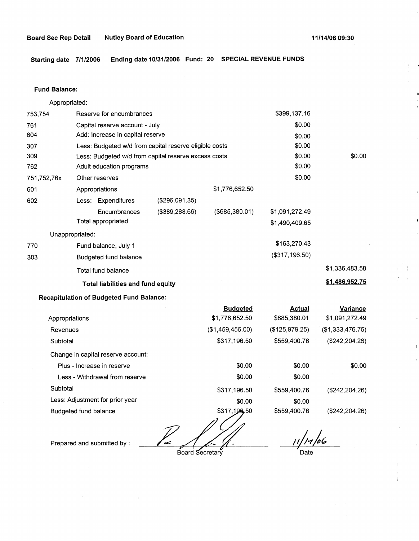**Starting date 7/1/2006 Ending date 10/31/2006 Fund: 20 SPECIAL REVENUE FUNDS** 

### **Fund Balance:**

753,754 761 604 Appropriated: Reserve for encumbrances . Capital reserve account - July Add: Increase in capital reserve 307 309 762 751,752,76x 601 Less: Budgeted w/d from capital reserve eligible costs Less: Budgeted w/d from capital reserve excess costs Adult education programs 602 Other reserves Appropriations Less: Expenditures **Encumbrances** Total appropriated Unappropriated: 770 Fund balance, July 1 303 Budgeted fund balance Total fund balance (\$296,091.35) (\$389,288.66) **Total liabilities and fund equity Recapitulation of Budgeted Fund Balance:**  Appropriations Revenues **Subtotal** Change in capital reserve account: Plus - Increase in reserve \$1,776,652.50 (\$685,380.01) **Budgeted**  \$1,776,652.50 (\$1,459,456.00) \$317,196.50 \$0.00 \$399,137.16 \$0.00 \$0.00 \$0.00 \$0.00 \$0.00 \$0.00 \$1,091,272.49 \$1,490,409.65 \$163,270.43 (\$317,196.50) **Actual**  \$685,380.01 (\$125,979.25) \$559,400.76 \$0.00 \$0.00 \$1,336,483.58 **\$1,486,952.75 Variance**  \$1,091,272.49 (\$1,333,476.75) (\$242,204.26) \$0.00

Less - Withdrawal from reserve **Subtotal** Less: Adjustment for prior year Budgeted fund balance \$0.00 \$317,196.50 \$0.00 \$317,196.50

*11/14/06*<br>Date

\$559,400.76

Prepared and submitted by :

Board Secretary

\$0.00 \$559,400.76 \$0.00 (\$242,204.26)

(\$242,204.26)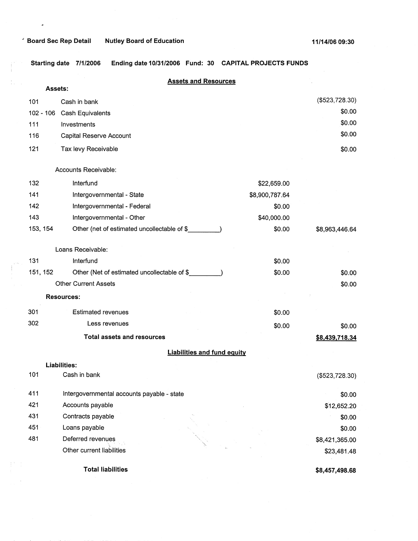### ' **Board Sec Rep Detail Nutley Board of Education**

 $\tilde{\phantom{a}}$ 

 $\hat{\Gamma}$ 

 $\frac{1}{2} \frac{1}{2} \left( \frac{1}{2} \right)$ 

 $\mathcal{A}^+$  .

 $\sim$   $\alpha$ 

**Starting date 7/1/2006 Ending date 10/31/2006 Fund: 30 CAPITAL PROJECTS FUNDS** 

|          |                                             | <b>Assets and Resources</b>        |                |
|----------|---------------------------------------------|------------------------------------|----------------|
|          | Assets:                                     |                                    |                |
| 101      | Cash in bank                                |                                    | (\$523,728.30) |
|          | 102 - 106 Cash Equivalents                  |                                    | \$0.00         |
| 111      | Investments                                 |                                    | \$0.00         |
| 116      | Capital Reserve Account                     |                                    | \$0.00         |
| 121      | Tax levy Receivable                         |                                    | \$0.00         |
|          | Accounts Receivable:                        |                                    |                |
| 132      | Interfund                                   | \$22,659.00                        |                |
| 141      | Intergovernmental - State                   | \$8,900,787.64                     |                |
| 142      | Intergovernmental - Federal                 | \$0.00                             |                |
| 143      | Intergovernmental - Other                   | \$40,000.00                        |                |
| 153, 154 | Other (net of estimated uncollectable of \$ | \$0.00                             | \$8,963,446.64 |
|          | Loans Receivable:                           |                                    |                |
| 131      | Interfund                                   | \$0.00                             |                |
| 151, 152 | Other (Net of estimated uncollectable of \$ | \$0.00                             | \$0.00         |
|          | <b>Other Current Assets</b>                 |                                    | \$0.00         |
|          | <b>Resources:</b>                           |                                    |                |
| 301      | <b>Estimated revenues</b>                   | \$0.00                             |                |
| 302      | Less revenues                               | \$0.00                             | \$0.00         |
|          | <b>Total assets and resources</b>           |                                    | \$8,439,718.34 |
|          |                                             | <b>Liabilities and fund equity</b> |                |
|          | Liabilities:                                |                                    |                |
| 101      | Cash in bank                                |                                    | (\$523,728.30) |
| 411      | Intergovernmental accounts payable - state  |                                    | \$0.00         |
| 421      | Accounts payable                            |                                    | \$12,652.20    |
| 431      | Contracts payable                           |                                    | \$0.00         |
| 451      | Loans payable                               |                                    | \$0.00         |
| 481      | Deferred revenues                           |                                    | \$8,421,365.00 |
|          | Other current liabilities                   |                                    | \$23,481.48    |
|          | <b>Total liabilities</b>                    |                                    | \$8,457,498.68 |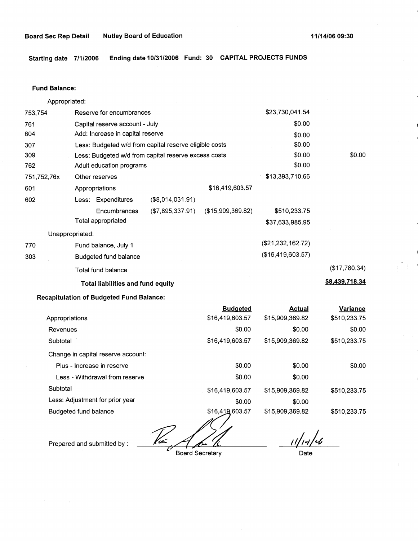**Starting date 7/1/2006 Ending date 10/31/2006 Fund: 30 CAPITAL PROJECTS FUNDS** 

### **Fund Balance:**

Appropriated: 753,754 Reserve for encumbrances Capital reserve account - July Add: Increase in capital reserve 761 604 307 309 762 751,752,76x 601 Less: Budgeted w/d from capital reserve eligible costs Less: Budgeted w/d from capital reserve excess costs Adult education programs Other reserves Appropriations \$16,419,603.57 602 (\$8,014,031.91) **Less:** Expenditures 770 303 **Encumbrances** Total appropriated Unappropriated: Fund balance, July 1 Budgeted fund balance Total fund balance (\$7,895,337.91) (\$15,909,369.82) **Total liabilities and fund equity Recapitulation of Budgeted Fund Balance:**  \$23,730,041.54 \$0.00 \$0.00 \$0.00 \$0.00 \$0.00 \$13,393,710.66 \$510,233.75 \$37,633,985.95 (\$21,232,162.72) (\$16,419,603.57) \$0.00 (\$17,780.34) **\$8,439,718.34** 

|                                    | <b>Budgeted</b> | <b>Actual</b>                     | <b>Variance</b> |
|------------------------------------|-----------------|-----------------------------------|-----------------|
| Appropriations                     | \$16,419,603.57 | \$15,909,369.82                   | \$510,233.75    |
| Revenues                           | \$0.00          | \$0.00                            | \$0.00          |
| Subtotal                           | \$16,419,603.57 | \$15,909,369.82                   | \$510,233.75    |
| Change in capital reserve account: |                 |                                   |                 |
| Plus - Increase in reserve         | \$0.00          | \$0.00                            | \$0.00          |
| Less - Withdrawal from reserve     | \$0.00          | \$0.00                            |                 |
| Subtotal                           | \$16,419,603.57 | \$15,909,369.82                   | \$510,233.75    |
| Less: Adjustment for prior year    | \$0.00          | \$0.00                            |                 |
| Budgeted fund balance              | \$16,419,603.57 | \$15,909,369.82                   | \$510,233.75    |
|                                    |                 | <b>Contract Contract Contract</b> |                 |

Prepared and submitted by :

Board Secretary

*10\_61!~* 

Date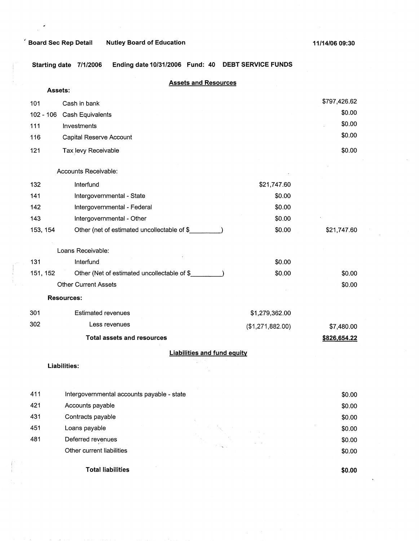# ·· **Board Sec Rep Detail Nutley Board of Education**

**Starting date 7/1/2006 Ending date 10/31/2006 Fund: 40 DEBT SERVICE FUNDS** 

|          |                                             | <b>Assets and Resources</b>        |                  |              |
|----------|---------------------------------------------|------------------------------------|------------------|--------------|
| Assets:  |                                             |                                    |                  |              |
| 101      | Cash in bank                                |                                    |                  | \$797,426.62 |
|          | 102 - 106 Cash Equivalents                  |                                    |                  | \$0.00       |
| 111      | Investments                                 |                                    |                  | \$0.00       |
| 116      | Capital Reserve Account                     |                                    |                  | \$0.00       |
| 121      | Tax levy Receivable                         |                                    |                  | \$0.00       |
|          | Accounts Receivable:                        |                                    |                  |              |
| 132      | Interfund                                   |                                    | \$21,747.60      |              |
| 141      | Intergovernmental - State                   |                                    | \$0.00           |              |
| 142      | Intergovernmental - Federal                 |                                    | \$0.00           |              |
| 143      | Intergovernmental - Other                   |                                    | \$0.00           |              |
| 153, 154 | Other (net of estimated uncollectable of \$ |                                    | \$0.00           | \$21,747.60  |
|          | Loans Receivable:                           |                                    |                  |              |
| 131      | Interfund                                   |                                    | \$0.00           |              |
| 151, 152 | Other (Net of estimated uncollectable of \$ |                                    | \$0.00           | \$0.00       |
|          | <b>Other Current Assets</b>                 |                                    |                  | \$0.00       |
|          | <b>Resources:</b>                           |                                    |                  |              |
| 301      | <b>Estimated revenues</b>                   |                                    | \$1,279,362.00   |              |
| 302      | Less revenues                               |                                    | (\$1,271,882.00) | \$7,480.00   |
|          | <b>Total assets and resources</b>           |                                    |                  | \$826,654.22 |
|          |                                             | <b>Liabilities and fund equity</b> |                  |              |
|          | Liabilities:                                |                                    |                  |              |
|          |                                             |                                    |                  |              |
| 411      | Intergovernmental accounts payable - state  |                                    |                  | \$0.00       |
| 421      | Accounts payable                            |                                    |                  | \$0.00       |
| 431      | Contracts payable                           |                                    |                  | \$0.00       |
| 451      | Loans payable                               |                                    |                  | \$0.00       |
| 481      | Deferred revenues                           |                                    |                  | \$0.00       |
|          | Other current liabilities                   |                                    |                  | \$0.00       |

**Total liabilities** 

**\$0.00**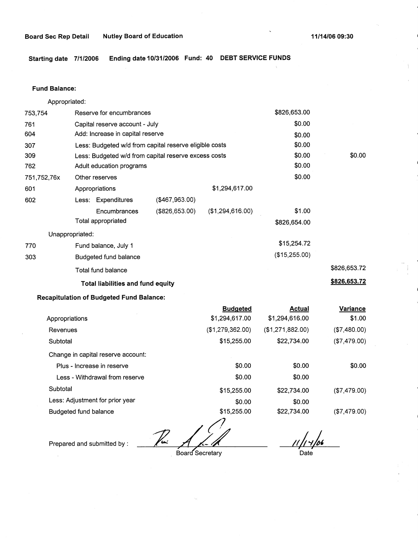**Starting date 7/1/2006 Ending date 10/31/2006 Fund: 40 DEBT SERVICE FUNDS** 

### **Fund Balance:**

753,754 761 604 Appropriated: Reserve for encumbrances Capital reserve account - July Add: Increase in capital reserve 307 309 762 751,752,76x 601 Less: Budgeted w/d from capital reserve eligible costs Less: Budgeted w/d from capital reserve excess costs Adult education programs 602 770 303 Other reserves Appropriations Less: Expenditures **Encumbrances** Total appropriated Unappropriated: Fund balance, July 1 Budgeted fund balance Total fund balance (\$467,963.00) (\$826,653.00) \$1,294,617.00 (\$1,294,616.00) **Total liabilities and fund equity**  \$826,653.00 \$0.00 \$0.00 \$0.00 \$0.00 \$0.00 \$0.00 \$1.00 \$826,654.00 \$15,254.72 (\$15,255.00) \$0.00 \$826,653.72 **\$826,653.72** 

### **Recapitulation of Budgeted Fund Balance:**

|                                    | <b>Budgeted</b>  | <b>Actual</b>    | Variance     |
|------------------------------------|------------------|------------------|--------------|
| Appropriations                     | \$1,294,617.00   | \$1,294,616.00   | \$1.00       |
| Revenues                           | (\$1,279,362.00) | (\$1,271,882.00) | (\$7,480.00) |
| Subtotal                           | \$15,255.00      | \$22,734.00      | (\$7,479.00) |
| Change in capital reserve account: |                  |                  |              |
| Plus - Increase in reserve         | \$0.00           | \$0.00           | \$0.00       |
| Less - Withdrawal from reserve     | \$0.00           | \$0.00           |              |
| Subtotal                           | \$15,255.00      | \$22,734.00      | (\$7,479.00) |
| Less: Adjustment for prior year    | \$0.00           | \$0.00           |              |
| Budgeted fund balance              | \$15,255.00      | \$22,734.00      | (\$7,479.00) |
|                                    |                  |                  |              |

**(-l**   $\frac{1}{\sqrt{2}}$  . Soard Secretary

Prepared and submitted by :

 $\frac{1}{11}$ 

Date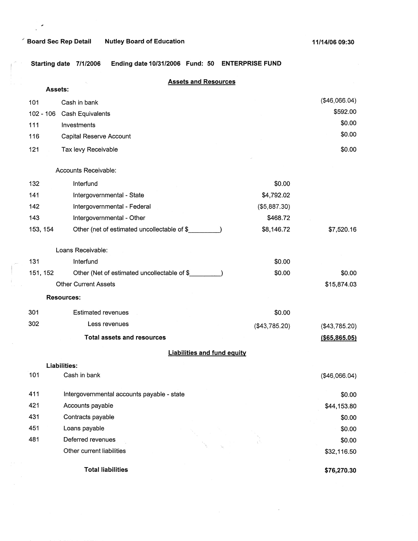# ' **Board Sec Rep Detail Nutley Board of Education**

۳ l.

**Starting date 7/1/2006 Ending date 10/31/2006 Fund: 50 ENTERPRISE FUND** 

|          |                | <b>Assets and Resources</b>                 |                                    |                  |
|----------|----------------|---------------------------------------------|------------------------------------|------------------|
|          | <b>Assets:</b> |                                             |                                    |                  |
| 101      |                | Cash in bank                                |                                    | (\$46,066.04)    |
|          | 102 - 106      | Cash Equivalents                            |                                    | \$592.00         |
| 111      |                | Investments                                 |                                    | \$0.00           |
| 116      |                | Capital Reserve Account                     |                                    | \$0.00           |
| 121      |                | Tax levy Receivable                         |                                    | \$0.00           |
|          |                | Accounts Receivable:                        |                                    |                  |
| 132      |                | Interfund                                   | \$0.00                             |                  |
| 141      |                | Intergovernmental - State                   | \$4,792.02                         |                  |
| 142      |                | Intergovernmental - Federal                 | (\$5,887.30)                       |                  |
| 143      |                | Intergovernmental - Other                   | \$468.72                           |                  |
| 153, 154 |                | Other (net of estimated uncollectable of \$ | \$8,146.72                         | \$7,520.16       |
|          |                | Loans Receivable:                           |                                    |                  |
| 131      |                | Interfund                                   | \$0.00                             |                  |
|          | 151, 152       | Other (Net of estimated uncollectable of \$ | \$0.00                             | \$0.00           |
|          |                | <b>Other Current Assets</b>                 |                                    | \$15,874.03      |
|          |                | <b>Resources:</b>                           |                                    |                  |
| 301      |                | <b>Estimated revenues</b>                   | \$0.00                             |                  |
| 302      |                | Less revenues                               | ( \$43,785.20)                     | (\$43,785.20)    |
|          |                | <b>Total assets and resources</b>           |                                    | $($ \$65,865.05) |
|          |                |                                             | <b>Liabilities and fund equity</b> |                  |
|          |                | Liabilities:                                |                                    |                  |
| 101      |                | Cash in bank                                |                                    | (\$46,066.04)    |
| 411      |                | Intergovernmental accounts payable - state  |                                    | \$0.00           |
| 421      |                | Accounts payable                            |                                    | \$44,153.80      |
| 431      |                | Contracts payable                           |                                    | \$0.00           |
| 451      |                | Loans payable                               |                                    | \$0.00           |
| 481      |                | Deferred revenues                           |                                    | \$0.00           |
|          |                | Other current liabilities                   |                                    | \$32,116.50      |
|          |                | <b>Total liabilities</b>                    |                                    | \$76,270.30      |

 $\lambda$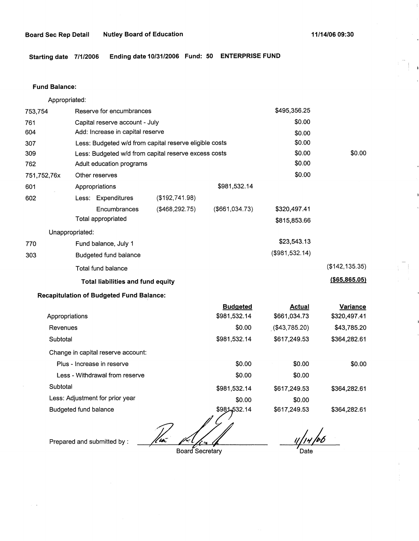**Starting date 7/1/2006 Ending date 10/31/2006 Fund: 50 ENTERPRISE FUND** 

### **Fund Balance:**

753,754 761 604 Appropriated: Reserve for encumbrances Capital reserve account - July Add: Increase in capital reserve 307 309 762 751,752,76x 601 Less: Budgeted w/d from capital reserve eligible costs Less: Budgeted w/d from capital reserve excess costs Adult education programs 602 770 303 Other reserves Appropriations Less: Expenditures **Encumbrances** Total appropriated Unappropriated: Fund balance, July 1 Budgeted fund balance Total fund balance (\$192,741.98) (\$468,292.75) \$981,532.14 (\$661,034.73) **Total liabilities and fund equity Recapitulation of Budgeted Fund Balance: Budgeted**  Appropriations \$981,532.14 Revenues \$0.00 Subtotal \$981,532.14 Change in capital reserve account: Plus - Increase in reserve \$0.00 \$495,356.25 \$0.00 \$0.00 \$0.00 \$0.00 \$0.00 \$0.00 \$320,497.41 \$815,853.66 \$23,543.13 (\$981,532.14) **Actual**  \$661,034.73 , (\$43,785,20) \$617,249.53 \$0.00 \$0.00 (\$142,135.35) **(\$65,865.05) Variance**  \$320,497.41 \$43,785.20 \$364,282.61 \$0.00

Less - Withdrawal from reserve **\$0.00** Subtotal \$981,532.14 Less: Adjustment for prior year **\$0,00** \$0,00 Budgeted fund balance . ~32.14 \$617,249.53 \$617,249.53

,,;;I/Jo *l*  \$364,282.61

\$364,282.61

Prepared and submitted by :<br>Prepared and submitted by :<br>Board Secretar

Board Secretary

Date

\$0.00

\$0.00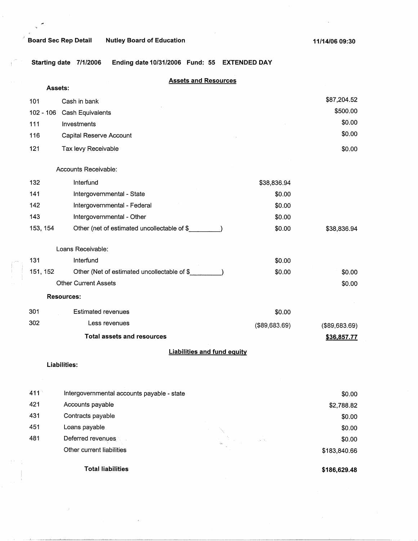# ) Board Sec Rep Detail Nutley Board of Education

**11/14/06 09:30** 

**Starting date 7/1/2006 Ending date 10/31/2006 Fund: 55 EXTENDED DAY** 

|             | <b>Assets and Resources</b>                 |                     |                |
|-------------|---------------------------------------------|---------------------|----------------|
| Assets:     |                                             |                     |                |
| 101         | Cash in bank                                |                     | \$87,204.52    |
| $102 - 106$ | Cash Equivalents                            |                     | \$500.00       |
| 111         | Investments                                 |                     | \$0.00         |
| 116         | Capital Reserve Account                     |                     | \$0.00         |
| 121         | Tax levy Receivable                         |                     | \$0.00         |
|             | Accounts Receivable:                        |                     |                |
| 132         | Interfund                                   | \$38,836.94         |                |
| 141         | Intergovernmental - State                   | \$0.00              |                |
| 142         | Intergovernmental - Federal                 | \$0.00              |                |
| 143         | Intergovernmental - Other                   | \$0.00              |                |
| 153, 154    | Other (net of estimated uncollectable of \$ | \$0.00              | \$38,836.94    |
|             | Loans Receivable:                           |                     |                |
| 131         | Interfund                                   | \$0.00              |                |
| 151, 152    | Other (Net of estimated uncollectable of \$ | \$0.00              | \$0.00         |
|             | Other Current Assets                        |                     | \$0.00         |
|             | <b>Resources:</b>                           |                     |                |
| 301         | <b>Estimated revenues</b>                   | \$0.00              |                |
| 302         | Less revenues                               | $($ \$89,683.69 $)$ | (\$89,683.69)  |
|             | <b>Total assets and resources</b>           |                     | \$36,857.77    |
|             | <b>Liabilities and fund equity</b>          |                     |                |
|             | Liabilities:                                |                     |                |
|             |                                             |                     |                |
| 111 I       | Intergovernmental accounts novable atota    |                     | 0 <sub>n</sub> |

|      | <b>Total liabilities</b>                   | \$186,629.48 |
|------|--------------------------------------------|--------------|
|      | Other current liabilities                  | \$183,840.66 |
| 481  | Deferred revenues                          | \$0.00       |
| 451  | Loans payable                              | \$0.00       |
| 431  | Contracts payable                          | \$0.00       |
| 421  | Accounts payable                           | \$2,788.82   |
| 411. | Intergovernmental accounts payable - state | \$0.00       |